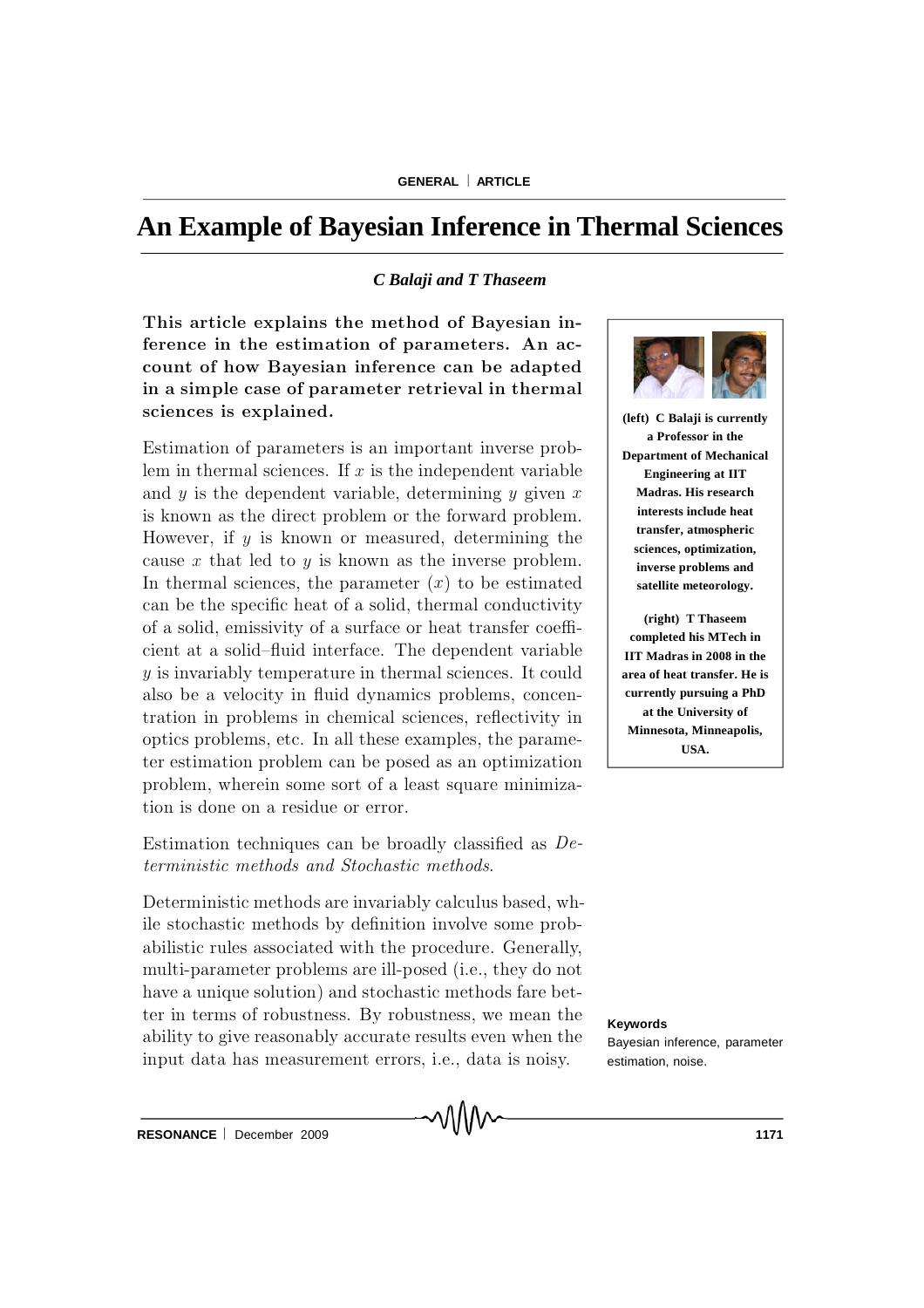# **An Example of Bayesian Inference in Thermal Sciences**

### *C Balaji and T Thaseem*

This article explains the method of Bayesian inference in the estimation of parameters. An account of how Bayesian inference can be adapted in a simple case of parameter retrieval in thermal sciences is explained.

Estimation of parameters is an important inverse problem in thermal sciences. If  $x$  is the independent variable and  $y$  is the dependent variable, determining  $y$  given  $x$ is known as the direct problem or the forward problem. However, if  $y$  is known or measured, determining the cause  $x$  that led to  $y$  is known as the inverse problem. In thermal sciences, the parameter  $(x)$  to be estimated can be the specific heat of a solid, thermal conductivity of a solid, emissivity of a surface or heat transfer coefficient at a solid-fluid interface. The dependent variable  $y$  is invariably temperature in thermal sciences. It could also be a velocity in fluid dynamics problems, concentration in problems in chemical sciences, reflectivity in optics problems, etc. In all these examples, the parameter estimation problem can be posed as an optimization problem, wherein some sort of a least square minimization is done on a residue or error.

## Estimation techniques can be broadly classified as  $De$ terministic methods and Stochastic methods.

Deterministic methods are invariably calculus based, while stochastic methods by definition involve some probabilistic rules associated with the procedure. Generally, multi-parameter problems are ill-posed (i.e., they do not have a unique solution) and stochastic methods fare better in terms of robustness. By robustness, we mean the ability to give reasonably accurate results even when the input data has measurement errors, i.e., data is noisy.

MMM



**(left) C Balaji is currently a Professor in the Department of Mechanical Engineering at IIT Madras. His research interests include heat transfer, atmospheric sciences, optimization, inverse problems and satellite meteorology.**

**(right) T Thaseem completed his MTech in IIT Madras in 2008 in the area of heat transfer. He is currently pursuing a PhD at the University of Minnesota, Minneapolis, USA.**

**Keywords**

Bayesian inference, parameter estimation, noise.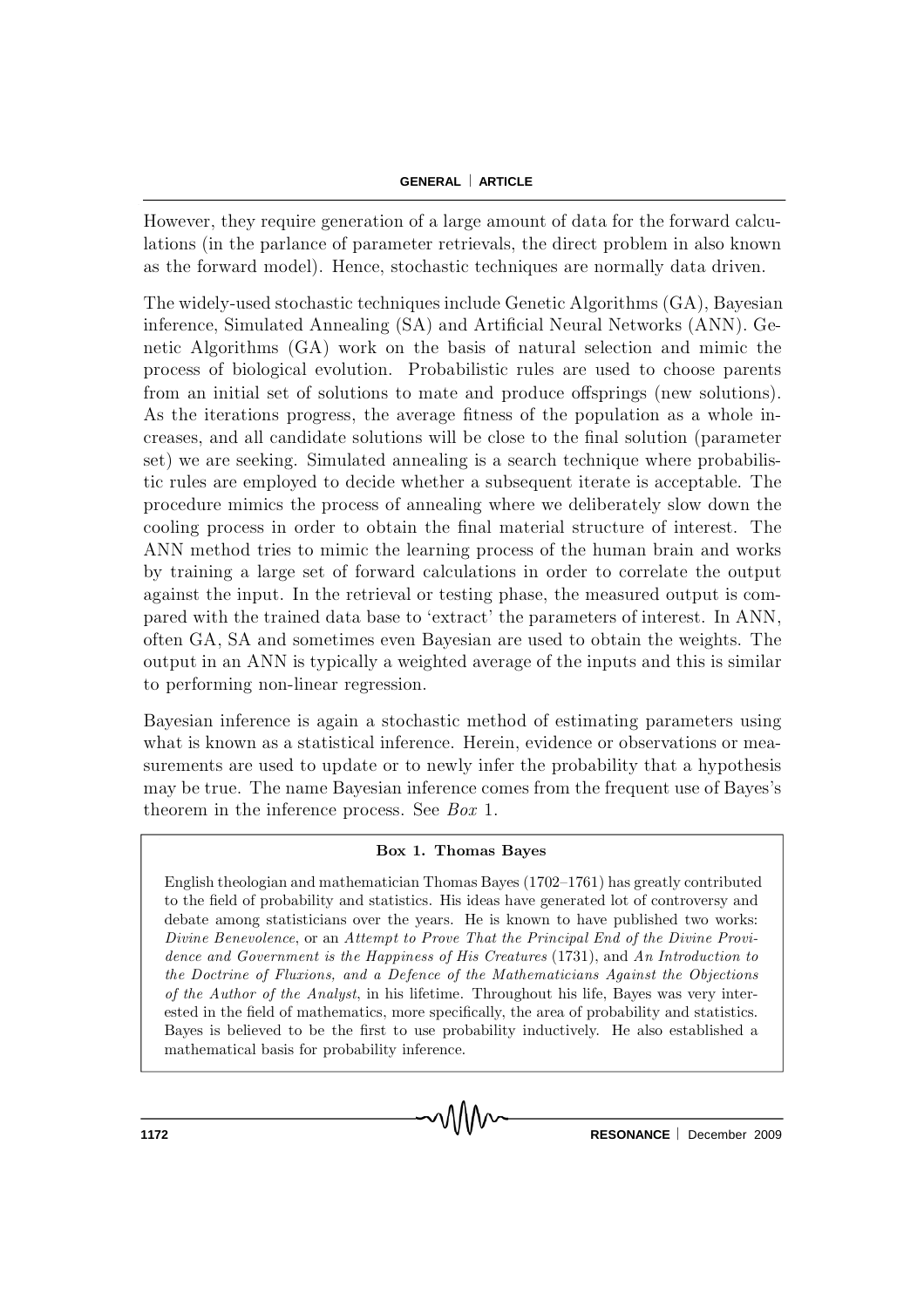#### **GENERAL | ARTICLE**

However, they require generation of a large amount of data for the forward calculations (in the parlance of parameter retrievals, the direct problem in also known as the forward model). Hence, stochastic techniques are normally data driven.

The widely-used stochastic techniques include Genetic Algorithms (GA), Bayesian inference, Simulated Annealing (SA) and Artificial Neural Networks (ANN). Genetic Algorithms (GA) work on the basis of natural selection and mimic the process of biological evolution. Probabilistic rules are used to choose parents from an initial set of solutions to mate and produce offsprings (new solutions). As the iterations progress, the average fitness of the population as a whole increases, and all candidate solutions will be close to the final solution (parameter set) we are seeking. Simulated annealing is a search technique where probabilistic rules are employed to decide whether a subsequent iterate is acceptable. The procedure mimics the process of annealing where we deliberately slow down the cooling process in order to obtain the final material structure of interest. The ANN method tries to mimic the learning process of the human brain and works by training a large set of forward calculations in order to correlate the output against the input. In the retrieval or testing phase, the measured output is compared with the trained data base to 'extract' the parameters of interest. In ANN, often GA, SA and sometimes even Bayesian are used to obtain the weights. The output in an ANN is typically a weighted average of the inputs and this is similar to performing non-linear regression.

Bayesian inference is again a stochastic method of estimating parameters using what is known as a statistical inference. Herein, evidence or observations or measurements are used to update or to newly infer the probability that a hypothesis may be true. The name Bayesian inference comes from the frequent use of Bayes's theorem in the inference process. See *Box* 1.

#### Box 1. Thomas Bayes

English theologian and mathematician Thomas Bayes (1702-1761) has greatly contributed to the field of probability and statistics. His ideas have generated lot of controversy and debate among statisticians over the years. He is known to have published two works: Divine Benevolence, or an Attempt to Prove That the Principal End of the Divine Providence and Government is the Happiness of His Creatures (1731), and An Introduction to the Doctrine of Fluxions, and a Defence of the Mathematicians Against the Objections of the Author of the Analyst, in his lifetime. Throughout his life, Bayes was very interested in the field of mathematics, more specifically, the area of probability and statistics. Bayes is believed to be the first to use probability inductively. He also established a mathematical basis for probability inference.

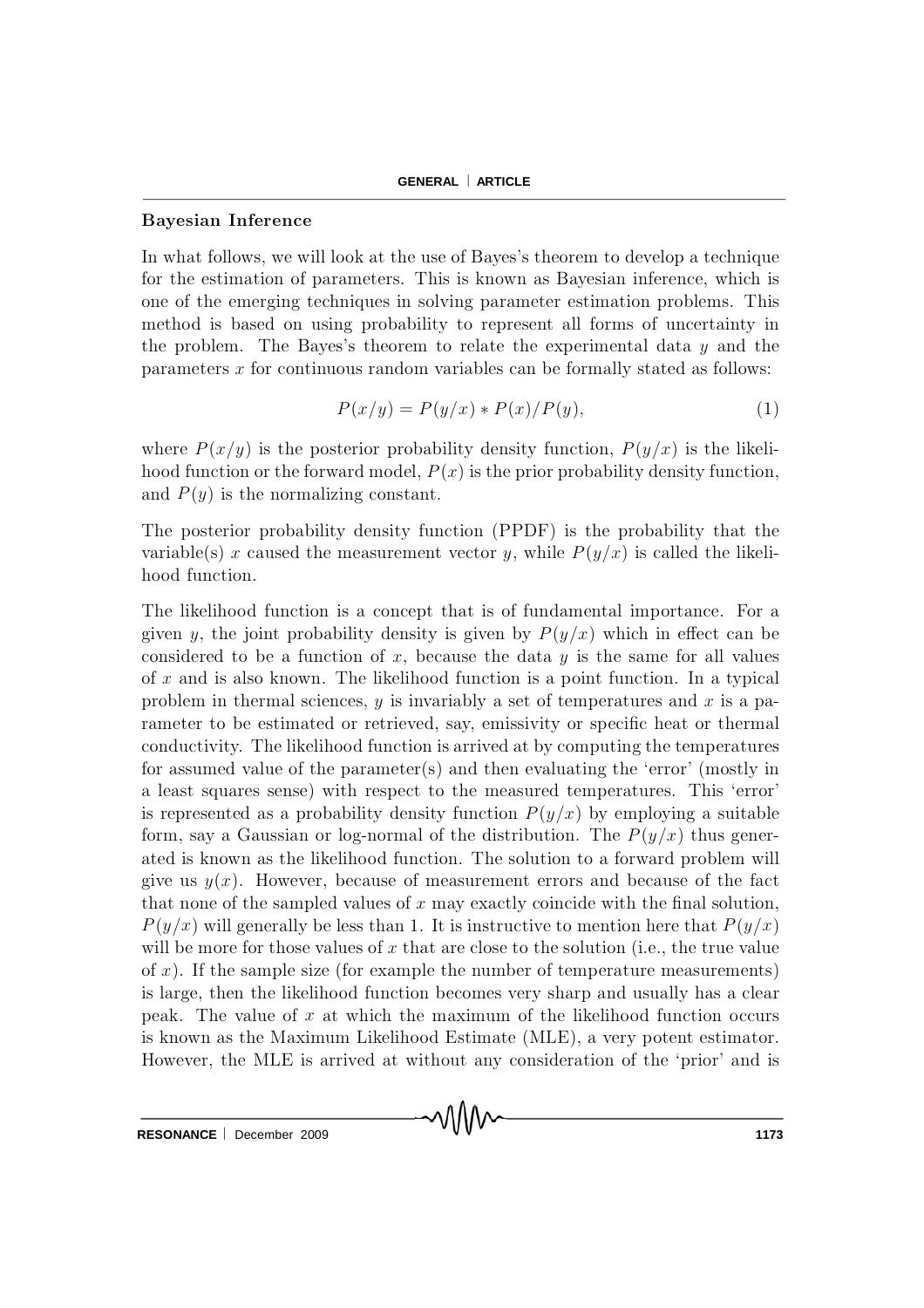#### B ay esian In feren ce

In what follows, we will look at the use of Bayes's theorem to develop a technique for the estimation of parameters. This is known as Bayesian inference, which is one of the emerging techniques in solving parameter estimation problems. This method is based on using probability to represent all forms of uncertainty in the problem. The Bayes's theorem to relate the experimental data  $y$  and the parameters  $x$  for continuous random variables can be formally stated as follows:

$$
P(x/y) = P(y/x) * P(x)/P(y),
$$
 (1)

where  $P(x/y)$  is the posterior probability density function,  $P(y/x)$  is the likelihood function or the forward model,  $P(x)$  is the prior probability density function, and  $P(y)$  is the normalizing constant.

The posterior probability density function (PPDF) is the probability that the variable(s) x caused the measurement vector y, while  $P(y/x)$  is called the likelihood function.

The likelihood function is a concept that is of fundamental importance. For a given y, the joint probability density is given by  $P(y/x)$  which in effect can be considered to be a function of x, because the data y is the same for all values of x and is also known. The likelihood function is a point function. In a typical problem in thermal sciences, y is invariably a set of temperatures and x is a parameter to be estimated or retrieved, say, emissivity or specific heat or thermal conductivity. The likelihood function is arrived at by computing the temperatures for assumed value of the parameter(s) and then evaluating the 'error' (mostly in a least squares sense) with respect to the measured temperatures. This 'error' is represented as a probability density function  $P(y/x)$  by employing a suitable form, say a Gaussian or log-normal of the distribution. The  $P(y/x)$  thus generated is known as the likelihood function. The solution to a forward problem will give us  $y(x)$ . However, because of measurement errors and because of the fact that none of the sampled values of  $x$  may exactly coincide with the final solution,  $P(y/x)$  will generally be less than 1. It is instructive to mention here that  $P(y/x)$ will be more for those values of  $x$  that are close to the solution (i.e., the true value of  $x$ ). If the sample size (for example the number of temperature measurements) is large, then the likelihood function becomes very sharp and usually has a clear peak. The value of  $x$  at which the maximum of the likelihood function occurs is known as the Maximum Likelihood Estimate (MLE), a very potent estimator. However, the MLE is arrived at without any consideration of the 'prior' and is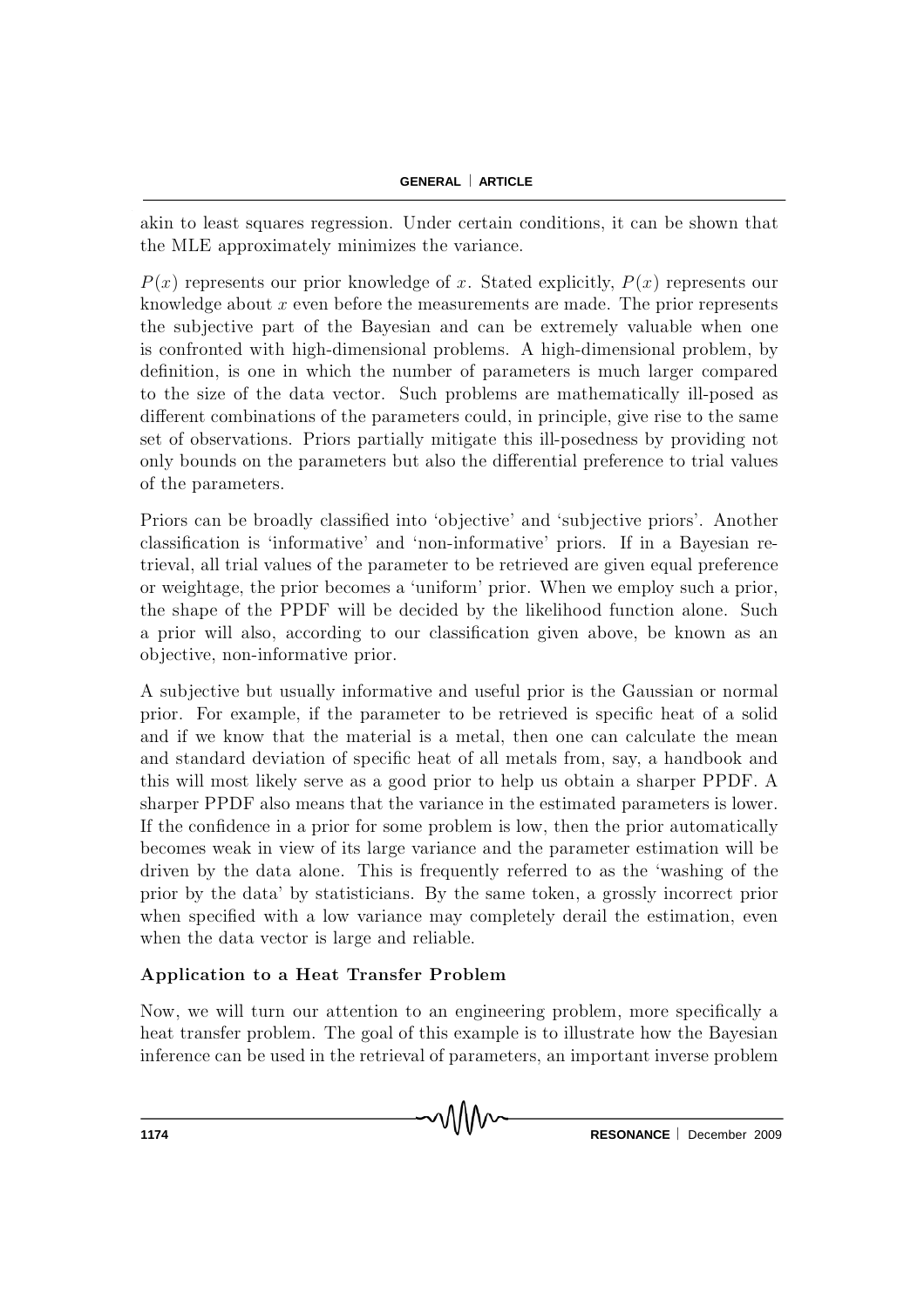#### **GENERAL ARTICLE**

akin to least squares regression. Under certain conditions, it can be shown that the MLE approximately minimizes the variance.

 $P(x)$  represents our prior knowledge of x. Stated explicitly,  $P(x)$  represents our knowledge about  $x$  even before the measurements are made. The prior represents the subjective part of the Bayesian and can be extremely valuable when one is confronted with high-dimensional problems. A high-dimensional problem, by definition, is one in which the number of parameters is much larger compared to the size of the data vector. Such problems are mathematically ill-posed as different combinations of the parameters could, in principle, give rise to the same set of observations. Priors partially mitigate this ill-posedness by providing not only bounds on the parameters but also the differential preference to trial values of the parameters.

Priors can be broadly classified into 'objective' and 'subjective priors'. Another classification is 'informative' and 'non-informative' priors. If in a B ayesian retrieval, all trial values of the parameter to be retrieved are given equal preference or weightage, the prior becomes a 'uniform' prior. When we employ such a prior, the shape of the PPDF will be decided by the likelihood function alone. Such a prior will also, according to our classification given above, be known as an ob jective, non-inform ative prior.

A subjective but usually informative and useful prior is the Gaussian or normal prior. For example, if the parameter to be retrieved is specific heat of a solid and if we know that the material is a metal, then one can calculate the mean and standard deviation of specific heat of all metals from, say, a handbook and this will most likely serve as a good prior to help us obtain a sharper PPDF. A sharper PPDF also means that the variance in the estimated parameters is lower. If the confidence in a prior for some problem is low, then the prior automatically becomes weak in view of its large variance and the parameter estimation will be driven by the data alone. This is frequently referred to as the 'washing of the prior by the data' by statisticians. By the same token, a grossly incorrect prior when specified with a low variance may completely derail the estimation, even when the data vector is large and reliable.

## Application to a Heat Transfer Problem

Now, we will turn our attention to an engineering problem, more specifically a heat transfer problem. The goal of this example is to illustrate how the Bayesian inference can be used in the retrieval of parameters, an important inverse problem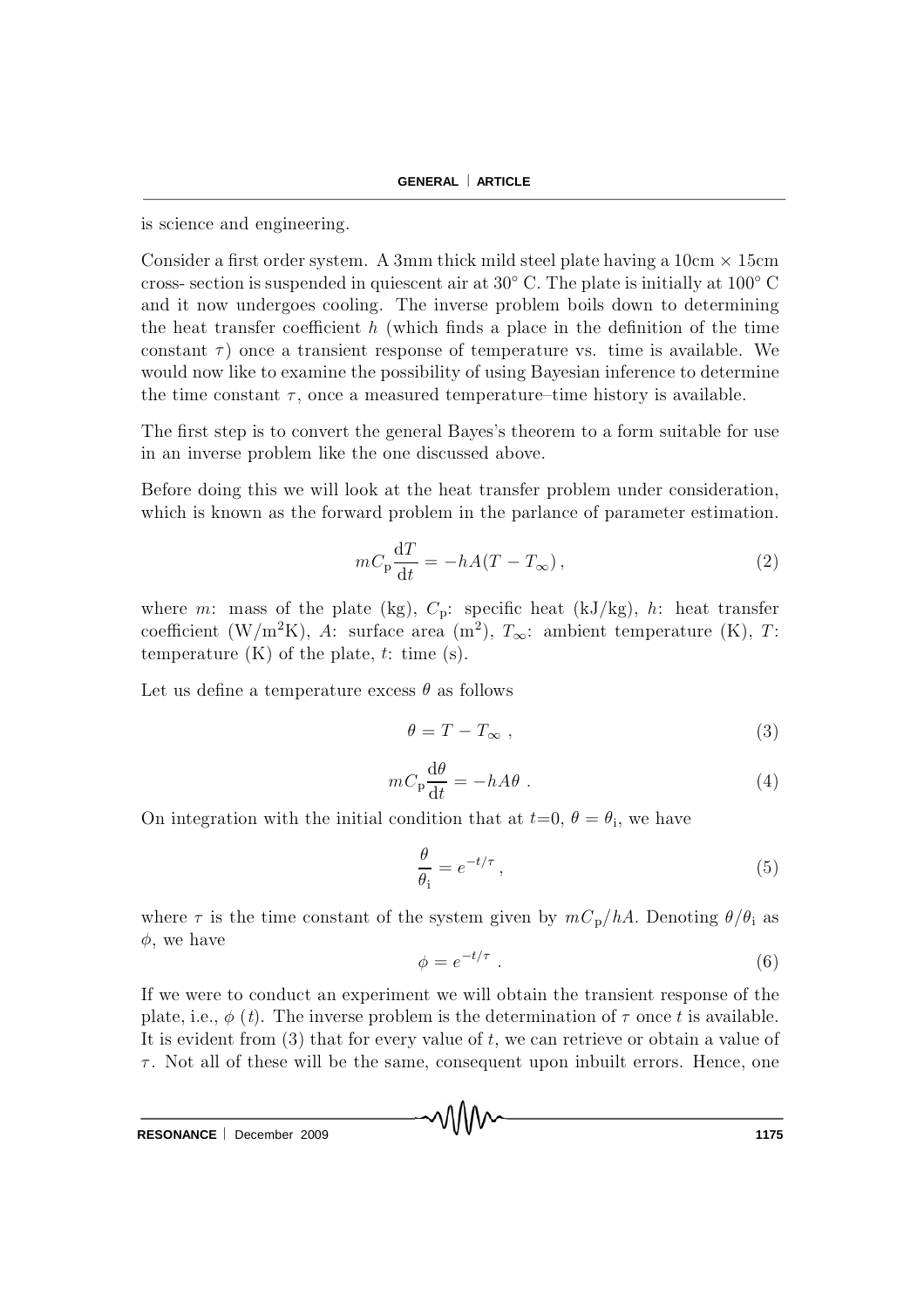is science and engineering.

Consider a first order system. A 3mm thick mild steel plate having a  $10 \text{cm} \times 15 \text{cm}$ cross-section is suspended in quiescent air at  $30^{\circ}$  C. The plate is initially at  $100^{\circ}$  C and it now undergoes cooling. The inverse problem boils down to determining the heat transfer coefficient  $h$  (which finds a place in the definition of the time constant  $\tau$ ) once a transient response of temperature vs. time is available. We would now like to examine the possibility of using Bayesian inference to determine the time constant  $\tau$ , once a measured temperature-time history is available.

The first step is to convert the general Bayes's theorem to a form suitable for use in an inverse problem like the one discussed above.

Before doing this we will look at the heat transfer problem under consideration, which is known as the forward problem in the parlance of parameter estimation.

$$
mC_{\rm p}\frac{\mathrm{d}T}{\mathrm{d}t} = -hA(T - T_{\infty}),\qquad (2)
$$

where m: mass of the plate (kg),  $C_p$ : specific heat (kJ/kg), h: heat transfer coefficient (W/m<sup>2</sup>K), A: surface area (m<sup>2</sup>),  $T_{\infty}$ : ambient temperature (K), T: temperature  $(K)$  of the plate, t: time  $(s)$ .

Let us define a temperature excess  $\theta$  as follows

$$
\theta = T - T_{\infty} \t{,} \t(3)
$$

$$
mC_{\mathbf{p}}\frac{\mathrm{d}\theta}{\mathrm{d}t} = -hA\theta\tag{4}
$$

On integration with the initial condition that at  $t=0, \theta=\theta_i$ , we have

$$
\frac{\theta}{\theta_{\rm i}} = e^{-t/\tau} \,,\tag{5}
$$

where  $\tau$  is the time constant of the system given by  $m C_p / hA$ . Denoting  $\theta / \theta_i$  as  $\phi$ , we have

$$
\phi = e^{-t/\tau} \tag{6}
$$

If we were to conduct an experiment we will obtain the transient response of the plate, i.e.,  $\phi$  (t). The inverse problem is the determination of  $\tau$  once t is available. It is evident from  $(3)$  that for every value of t, we can retrieve or obtain a value of  $\tau$ . Not all of these will be the same, consequent upon inbuilt errors. Hence, one

MMM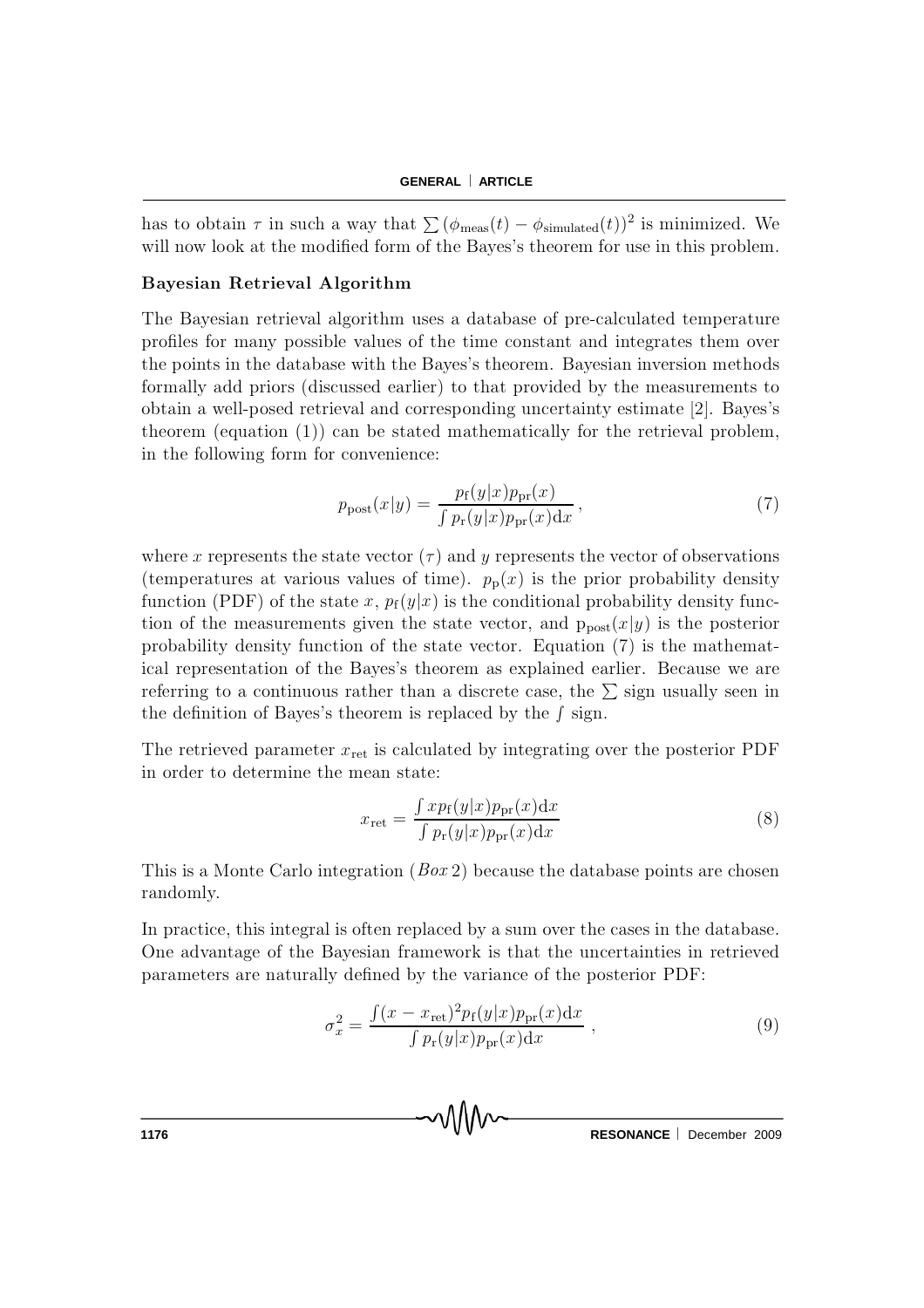#### **GENERAL ARTICLE**

has to obtain  $\tau$  in such a way that  $\sum (\phi_{\text{meas}}(t) - \phi_{\text{simulated}}(t))^2$  is minimized. We will now look at the modified form of the Bayes's theorem for use in this problem.

#### Bayesian Retrieval Algorithm

The Bayesian retrieval algorithm uses a database of pre-calculated temperature profiles for many possible values of the time constant and integrates them over the points in the database with the Bayes's theorem. Bayesian inversion methods form ally add priors (discussed earlier) to that provided by the measurements to obtain a well-posed retrieval and corresponding uncertainty estimate [2]. Bayes's theorem (equation  $(1)$ ) can be stated mathematically for the retrieval problem, in the following form for convenience:

$$
p_{\text{post}}(x|y) = \frac{p_{\text{f}}(y|x)p_{\text{pr}}(x)}{\int p_{\text{r}}(y|x)p_{\text{pr}}(x)\mathrm{d}x},\tag{7}
$$

where x represents the state vector  $(\tau)$  and y represents the vector of observations (temperatures at various values of time).  $p_p(x)$  is the prior probability density function (PDF) of the state x,  $p_f(y|x)$  is the conditional probability density function of the measurements given the state vector, and  $p_{post}(x | y)$  is the posterior probability density function of the state vector. Equation  $(7)$  is the mathem atical representation of the Bayes's theorem as explained earlier. Because we are referring to a continuous rather than a discrete case, the  $\Sigma$  sign usually seen in the definition of Bayes's theorem is replaced by the  $\int$  sign.

The retrieved parameter  $x_{\text{ret}}$  is calculated by integrating over the posterior PDF in order to determine the mean state:

$$
x_{\rm ret} = \frac{\int x p_{\rm f}(y|x) p_{\rm pr}(x) dx}{\int p_{\rm r}(y|x) p_{\rm pr}(x) dx}
$$
(8)

This is a Monte Carlo integration  $(Box 2)$  because the database points are chosen randomly.

In practice, this integral is often replaced by a sum over the cases in the database. One advantage of the Bayesian framework is that the uncertainties in retrieved parameters are naturally defined by the variance of the posterior PDF:

$$
\sigma_x^2 = \frac{\int (x - x_{\rm ret})^2 p_{\rm f}(y|x) p_{\rm pr}(x) dx}{\int p_{\rm r}(y|x) p_{\rm pr}(x) dx}, \qquad (9)
$$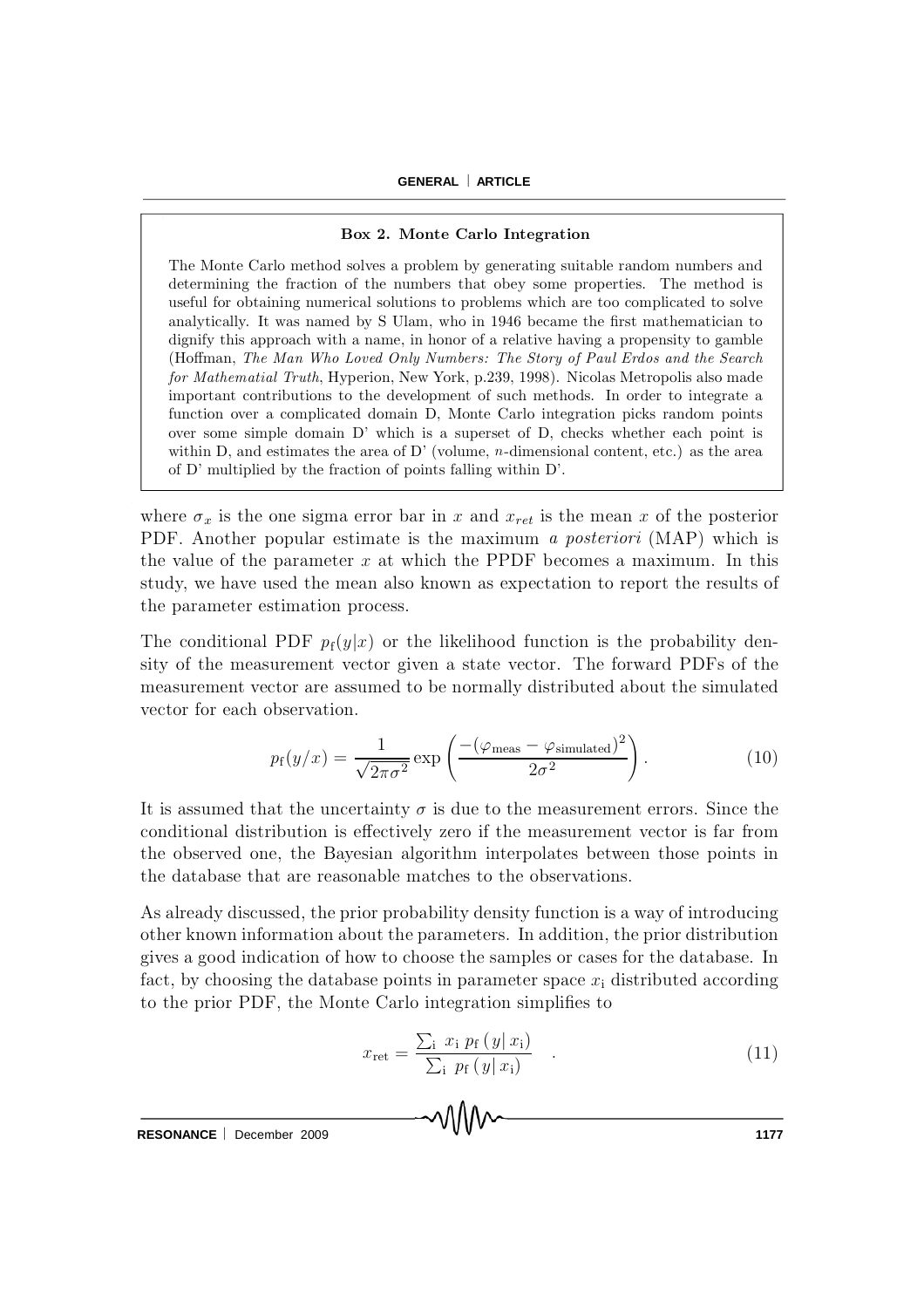#### Box 2. Monte Carlo Integration

The Monte Carlo method solves a problem by generating suitable random numbers and determining the fraction of the numbers that obey some properties. The method is useful for obtaining numerical solutions to problems which are too complicated to solve analytically. It was named by S Ulam, who in 1946 became the first mathematician to dignify this approach with a name, in honor of a relative having a propensity to gamble (Hoffman, The Man Who Loved Only Numbers: The Story of Paul Erdos and the Search for Mathematial Truth, Hyperion, New York, p.239, 1998). Nicolas Metropolis also made important contributions to the development of such methods. In order to integrate a function over a complicated domain D, Monte Carlo integration picks random points over some simple domain D' which is a superset of D, checks whether each point is within D, and estimates the area of D' (volume,  $n$ -dimensional content, etc.) as the area of D' multiplied by the fraction of points falling within D'.

where  $\sigma_x$  is the one sigma error bar in x and  $x_{ret}$  is the mean x of the posterior PDF. Another popular estimate is the maximum a *posteriori* (MAP) which is the value of the parameter  $x$  at which the PPDF becomes a maximum. In this study, we have used the mean also known as expectation to report the results of the parameter estimation process.

The conditional PDF  $p_f(y|x)$  or the likelihood function is the probability density of the measurement vector given a state vector. The forward PDFs of the measurement vector are assumed to be normally distributed about the simulated vector for each observation.

$$
p_{\rm f}(y/x) = \frac{1}{\sqrt{2\pi\sigma^2}} \exp\left(\frac{-(\varphi_{\rm meas} - \varphi_{\rm simulated})^2}{2\sigma^2}\right). \tag{10}
$$

It is assumed that the uncertainty  $\sigma$  is due to the measurement errors. Since the conditional distribution is effectively zero if the measurement vector is far from the observed one, the Bayesian algorithm interpolates between those points in the database that are reasonable matches to the observations.

As already discussed, the prior probability density function is a way of introducing other known information about the parameters. In addition, the prior distribution gives a good indication of how to choose the sam ples or cases for the database. In fact, by choosing the database points in parameter space  $x_i$  distributed according to the prior PDF, the Monte Carlo integration simplifies to

MMW

$$
x_{\rm ret} = \frac{\sum_{\rm i} x_{\rm i} p_{\rm f} (y | x_{\rm i})}{\sum_{\rm i} p_{\rm f} (y | x_{\rm i})} \quad . \tag{11}
$$

**RESONANCE** December 2009 **1177**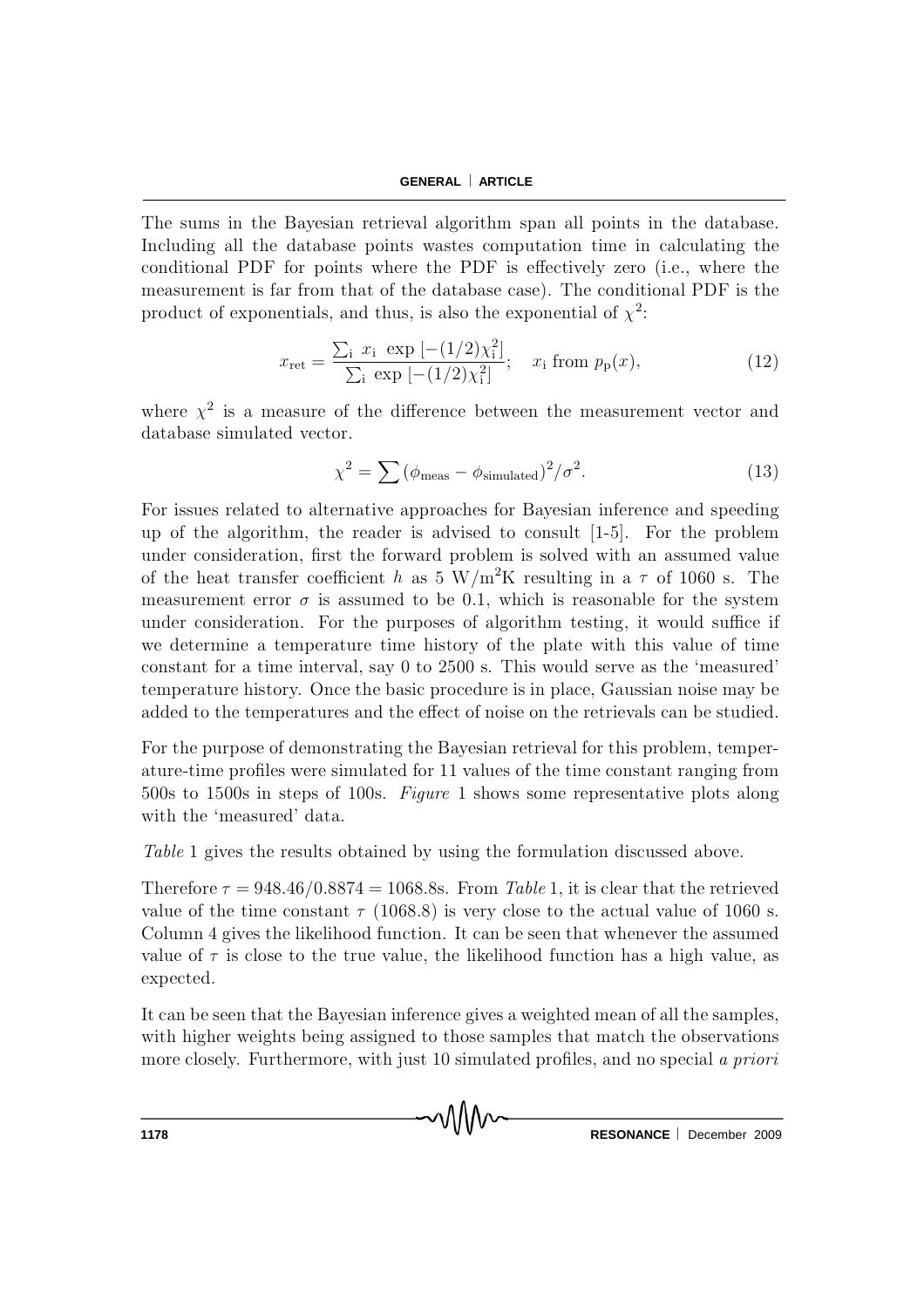The sums in the Bayesian retrieval algorithm span all points in the database. Including all the database points wastes computation time in calculating the conditional PDF for points where the PDF is effectively zero (i.e., where the measurement is far from that of the database case). The conditional PDF is the product of exponentials, and thus, is also the exponential of  $\chi^2$ .

$$
x_{\rm ret} = \frac{\sum_{\rm i} x_{\rm i} \exp\left[-(1/2)\chi_{\rm i}^2\right]}{\sum_{\rm i} \exp\left[-(1/2)\chi_{\rm i}^2\right]}; \quad x_{\rm i} \text{ from } p_{\rm p}(x),\tag{12}
$$

where  $\chi^2$  is a measure of the difference between the measurement vector and database simulated vector.

$$
\chi^2 = \sum (\phi_{\text{meas}} - \phi_{\text{simulated}})^2 / \sigma^2.
$$
 (13)

For issues related to alternative approaches for Bayesian inference and speeding up of the algorithm, the reader is advised to consult  $[1-5]$ . For the problem under consideration, first the forward problem is solved with an assumed value of the heat transfer coefficient h as 5 W/m<sup>2</sup>K resulting in a  $\tau$  of 1060 s. The measurement error  $\sigma$  is assumed to be 0.1, which is reasonable for the system under consideration. For the purposes of algorithm testing, it would suffice if we determine a temperature time history of the plate with this value of time constant for a time interval, say 0 to 2500 s. This would serve as the 'measured' temperature history. Once the basic procedure is in place, Gaussian noise may be added to the temperatures and the effect of noise on the retrievals can be studied.

For the purpose of demonstrating the Bayesian retrieval for this problem, temperature-time profiles were simulated for 11 values of the time constant ranging from 500s to 1500s in steps of 100s. Figure 1 shows some representative plots along with the 'measured' data.

Table 1 gives the results obtained by using the formulation discussed above.

Therefore  $\tau = 948.46/0.8874 = 1068.8$  From Table 1, it is clear that the retrieved value of the time constant  $\tau$  (1068.8) is very close to the actual value of 1060 s. Column 4 gives the likelihood function. It can be seen that whenever the assumed value of  $\tau$  is close to the true value, the likelihood function has a high value, as expected.

It can be seen that the Bayesian inference gives a weighted mean of all the samples, with higher weights being assigned to those samples that match the observations more closely. Furthermore, with just 10 simulated profiles, and no special a priori

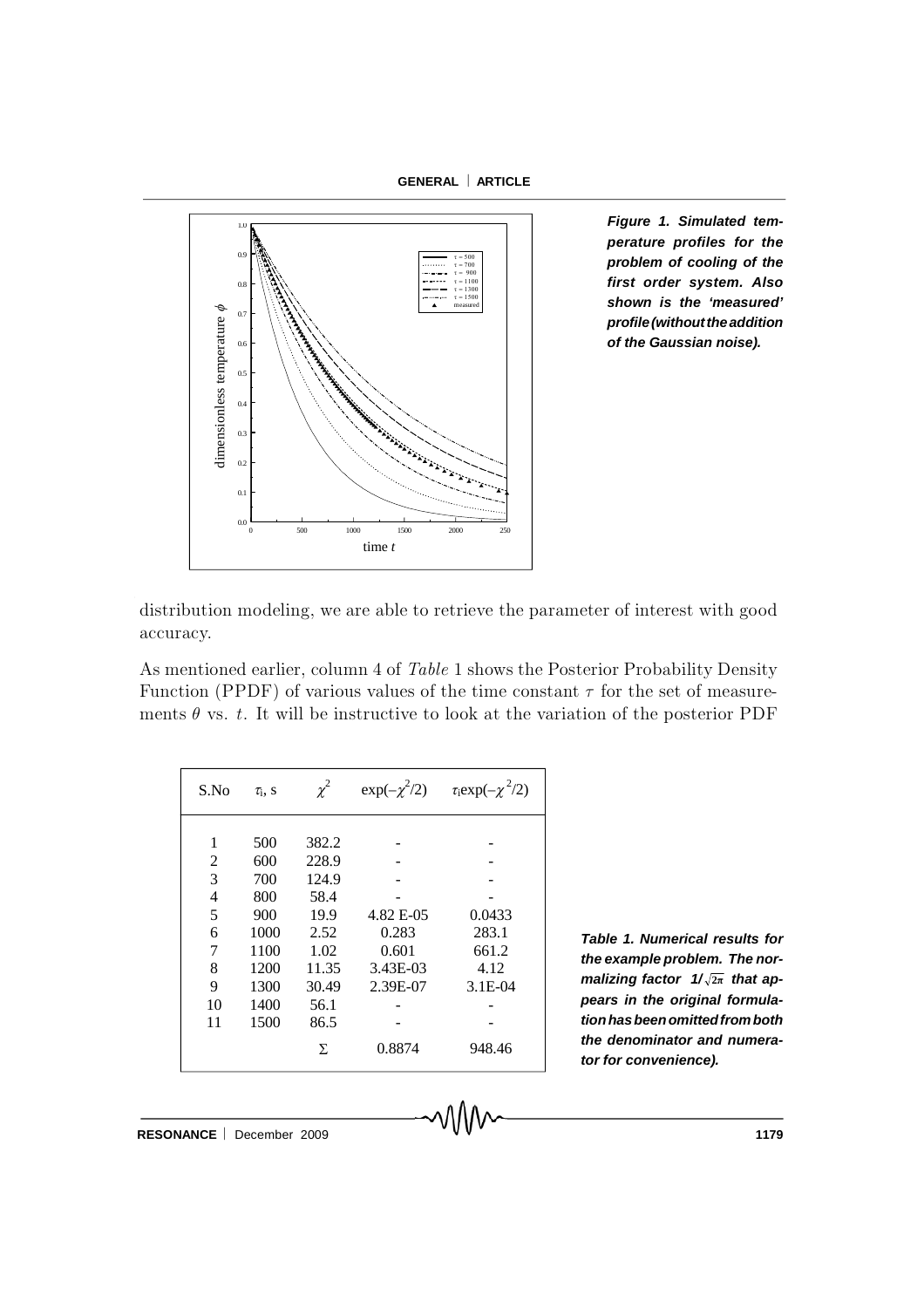**GENERAL ARTICLE**



*Figure 1. Simulated temperature profiles for the problem of cooling of the first order system. Also shown is the 'measured' profile(withouttheaddition of the Gaussian noise).*

distribution modeling, we are able to retrieve the parameter of interest with good accuracy.

As mentioned earlier, column 4 of Table 1 shows the Posterior Probability Density Function (PPDF) of various values of the time constant  $\tau$  for the set of measurements  $\theta$  vs. t. It will be instructive to look at the variation of the posterior PDF

| S.No | $\tau_i$ , S | $\chi^2$ |           | $\exp(-\chi^2/2)$ $\tau_i \exp(-\chi^2/2)$ |
|------|--------------|----------|-----------|--------------------------------------------|
|      |              |          |           |                                            |
| 1    | 500          | 382.2    |           |                                            |
| 2    | 600          | 228.9    |           |                                            |
| 3    | 700          | 124.9    |           |                                            |
| 4    | 800          | 58.4     |           |                                            |
| 5    | 900          | 19.9     | 4.82 E-05 | 0.0433                                     |
| 6    | 1000         | 2.52     | 0.283     | 283.1                                      |
| 7    | 1100         | 1.02     | 0.601     | 661.2                                      |
| 8    | 1200         | 11.35    | 3.43E-03  | 4.12                                       |
| 9    | 1300         | 30.49    | 2.39E-07  | $3.1E-04$                                  |
| 10   | 1400         | 56.1     |           |                                            |
| 11   | 1500         | 86.5     |           |                                            |
|      |              | Σ        | 0.8874    | 948.46                                     |

*Table 1. Numerical results for the example problem. The normalizing factor 1/* **2π** *that appears in the original formulationhasbeenomittedfromboth the denominator and numerator for convenience).*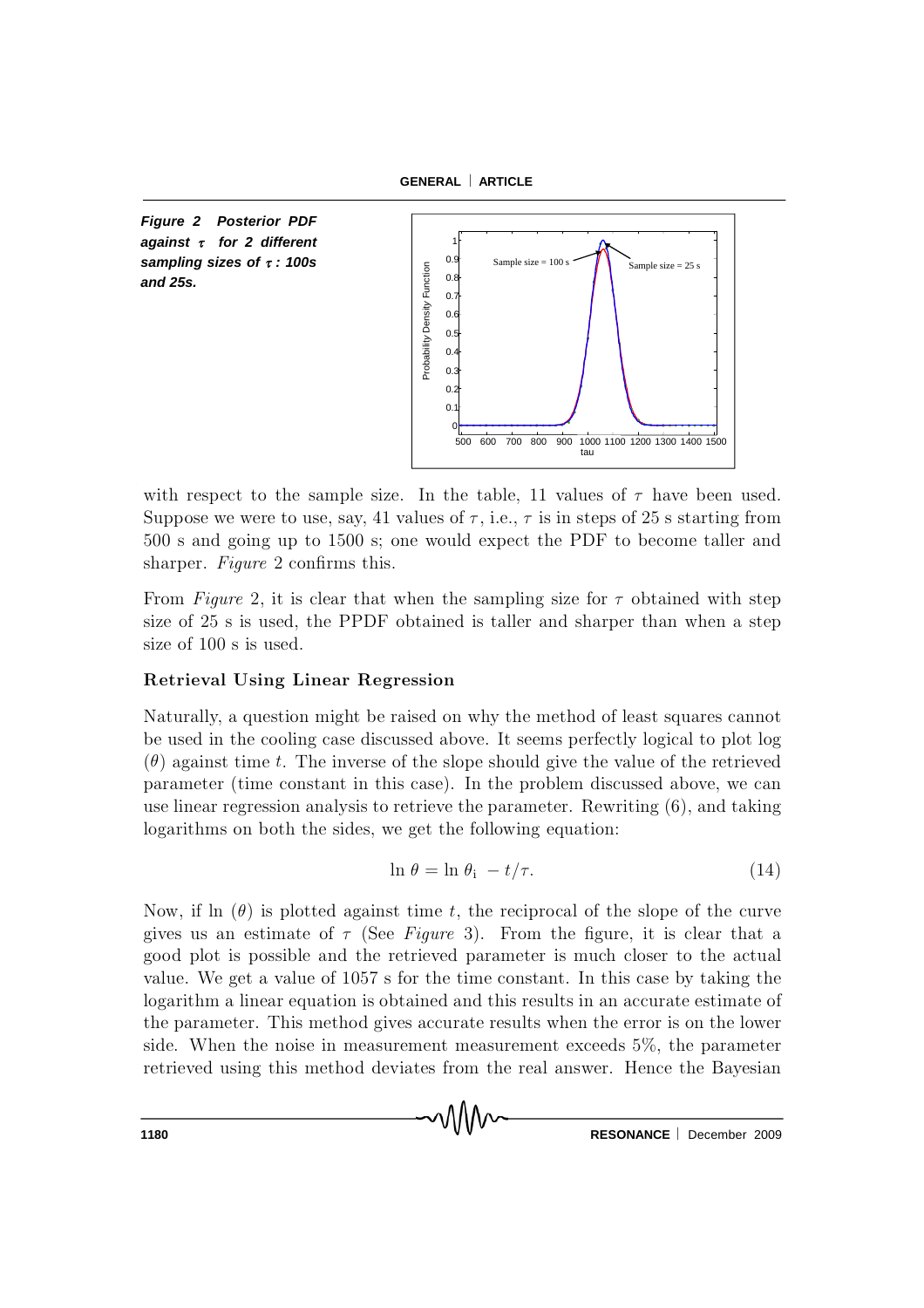**GENERAL ARTICLE**





with respect to the sample size. In the table, 11 values of  $\tau$  have been used. Suppose we were to use, say, 41 values of  $\tau$ , i.e.,  $\tau$  is in steps of 25 s starting from 500 s and going up to 1500 s; one would expect the PDF to become taller and sharper. Figure 2 confirms this.

From Figure 2, it is clear that when the sampling size for  $\tau$  obtained with step size of 25 s is used, the PPDF obtained is taller and sharper than when a step size of 100 s is used.

## Retrieval Using Linear Regression

Naturally, a question might be raised on why the method of least squares cannot be used in the cooling case discussed above. It seems perfectly logical to plot log  $(\theta)$  against time t. The inverse of the slope should give the value of the retrieved parameter (time constant in this case). In the problem discussed above, we can use linear regression analysis to retrieve the parameter. Rewriting  $(6)$ , and taking logarithms on both the sides, we get the following equation:

$$
\ln \theta = \ln \theta_{i} - t/\tau. \tag{14}
$$

Now, if ln  $(\theta)$  is plotted against time t, the reciprocal of the slope of the curve gives us an estimate of  $\tau$  (See Figure 3). From the figure, it is clear that a good plot is possible and the retrieved parameter is much closer to the actual value. We get a value of 1057 s for the time constant. In this case by taking the logarithm a linear equation is obtained and this results in an accurate estim ate of the parameter. This method gives accurate results when the error is on the lower side. When the noise in measurement measurement exceeds  $5\%$ , the parameter retrieved using this method deviates from the real answer. Hence the Bayesian

า\\\\∧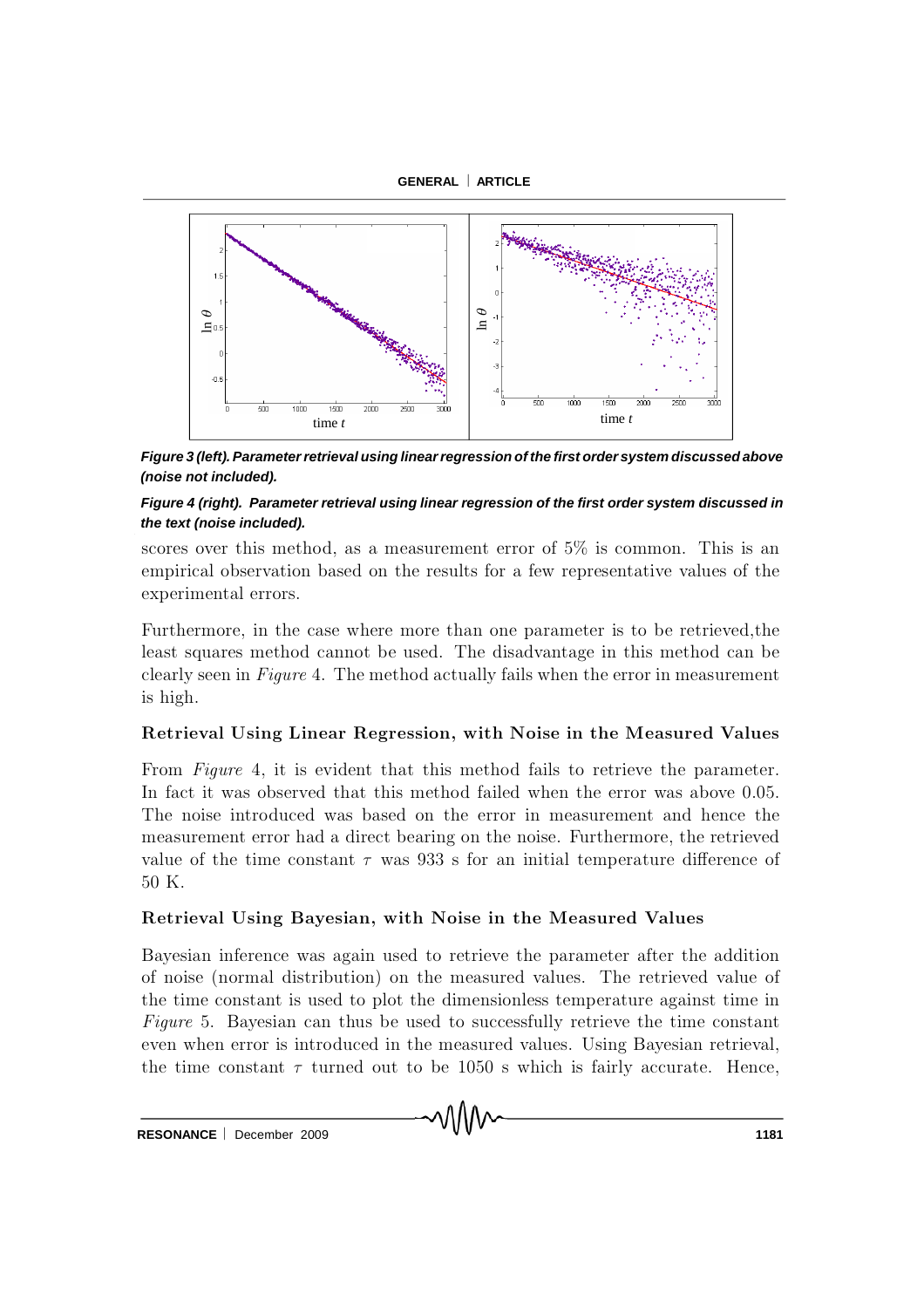



*Figure 3 (left). Parameter retrieval using linear regression of the first order system discussed above (noise not included).*

## *Figure 4 (right). Parameter retrieval using linear regression of the first order system discussed in the text (noise included).*

scores over this method, as a measurement error of  $5\%$  is common. This is an em pirical observation based on the results for a few representative values of the experimental errors.

Furthermore, in the case where more than one parameter is to be retrieved, the least squares method cannot be used. The disadvantage in this method can be clearly seen in Figure 4. The method actually fails when the error in measurement is high.

## Retrieval Using Linear Regression, with Noise in the Measured Values

From Figure 4, it is evident that this method fails to retrieve the parameter. In fact it was observed that this method failed when the error was above 0.05. The noise introduced was based on the error in measurement and hence the measurement error had a direct bearing on the noise. Furthermore, the retrieved value of the time constant  $\tau$  was 933 s for an initial temperature difference of 50 K.

# Retrieval Using Bayesian, with Noise in the Measured Values

Bayesian inference was again used to retrieve the parameter after the addition of noise (normal distribution) on the measured values. The retrieved value of the time constant is used to plot the dimensionless temperature against time in Figure 5. Bayesian can thus be used to successfully retrieve the time constant even when error is introduced in the measured values. Using Bayesian retrieval, the time constant  $\tau$  turned out to be 1050 s which is fairly accurate. Hence,